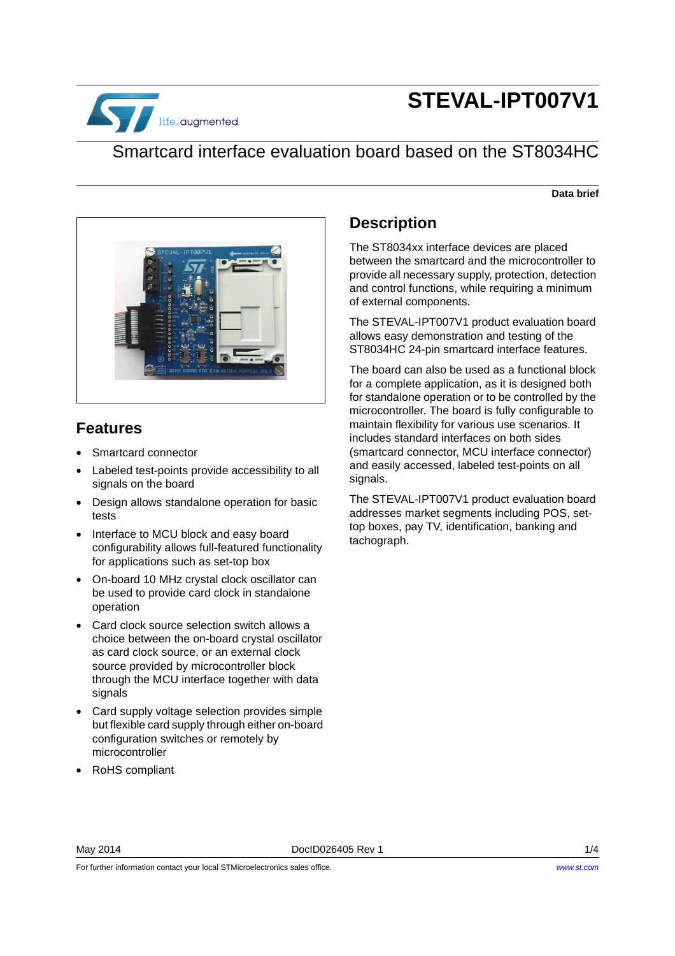

# **STEVAL-IPT007V1**

### Smartcard interface evaluation board based on the ST8034HC

**Data brief**



#### **Features**

- Smartcard connector
- Labeled test-points provide accessibility to all signals on the board
- Design allows standalone operation for basic tests
- Interface to MCU block and easy board configurability allows full-featured functionality for applications such as set-top box
- On-board 10 MHz crystal clock oscillator can be used to provide card clock in standalone operation
- Card clock source selection switch allows a choice between the on-board crystal oscillator as card clock source, or an external clock source provided by microcontroller block through the MCU interface together with data signals
- Card supply voltage selection provides simple but flexible card supply through either on-board configuration switches or remotely by microcontroller
- RoHS compliant

#### **Description**

The ST8034xx interface devices are placed between the smartcard and the microcontroller to provide all necessary supply, protection, detection and control functions, while requiring a minimum of external components.

The STEVAL-IPT007V1 product evaluation board allows easy demonstration and testing of the ST8034HC 24-pin smartcard interface features.

The board can also be used as a functional block for a complete application, as it is designed both for standalone operation or to be controlled by the microcontroller. The board is fully configurable to maintain flexibility for various use scenarios. It includes standard interfaces on both sides (smartcard connector, MCU interface connector) and easily accessed, labeled test-points on all signals.

The STEVAL-IPT007V1 product evaluation board addresses market segments including POS, settop boxes, pay TV, identification, banking and tachograph.

For further information contact your local STMicroelectronics sales office.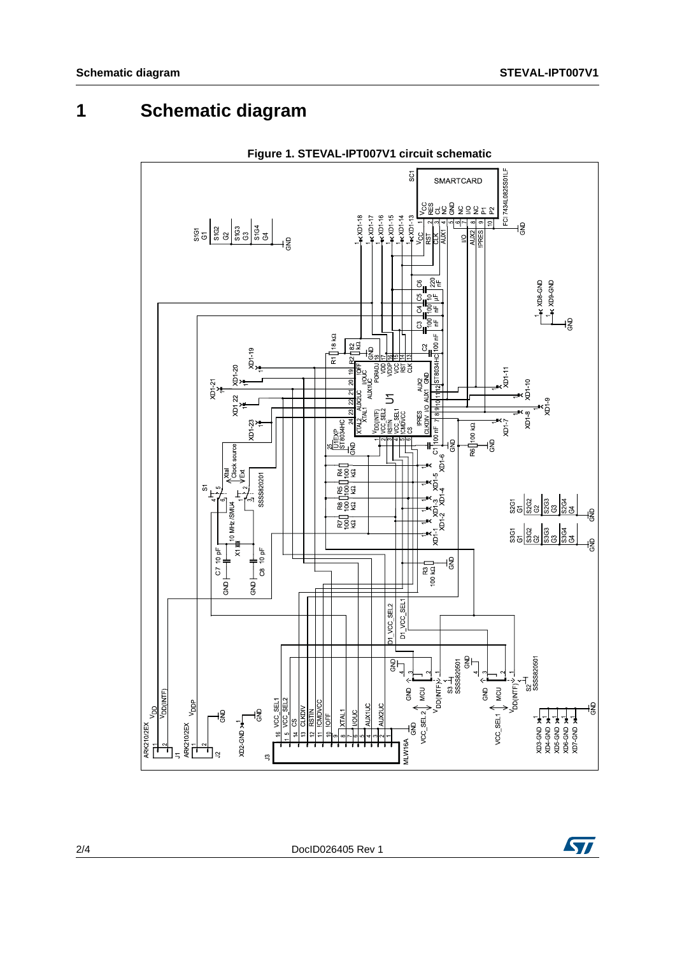### **1 Schematic diagram**



**Figure 1. STEVAL-IPT007V1 circuit schematic**

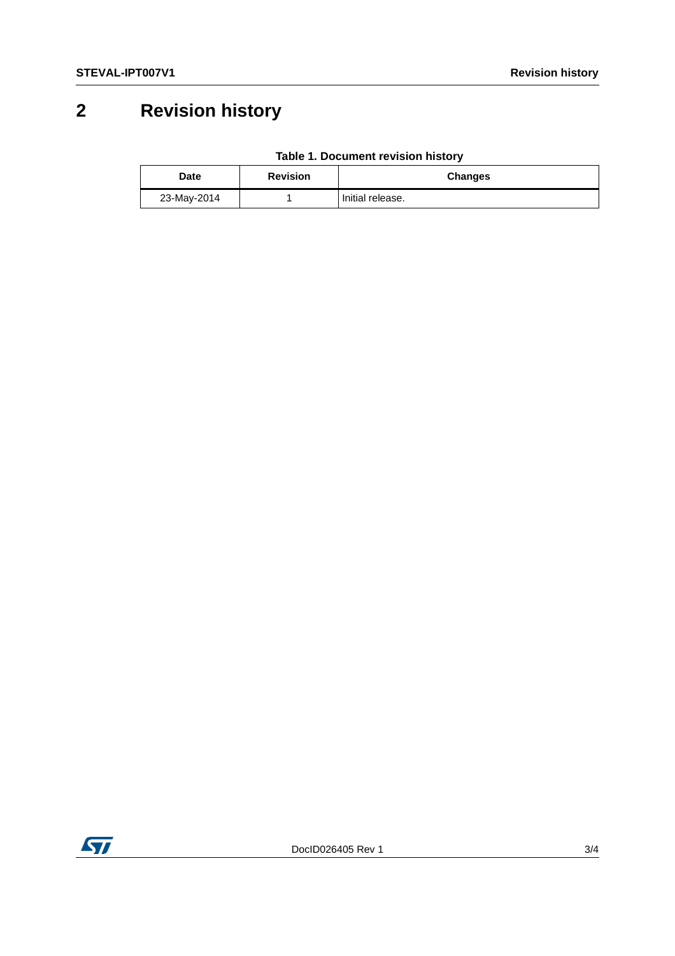## **2 Revision history**

|  | Table 1. Document revision history |  |  |
|--|------------------------------------|--|--|
|--|------------------------------------|--|--|

| <b>Date</b> | <b>Revision</b> | <b>Changes</b>   |
|-------------|-----------------|------------------|
| 23-May-2014 |                 | Initial release. |